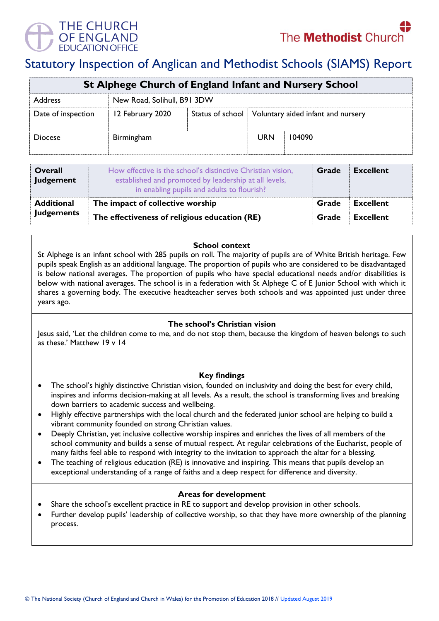

# Statutory Inspection of Anglican and Methodist Schools (SIAMS) Report

| St Alphege Church of England Infant and Nursery School |                             |  |                                                       |        |  |  |
|--------------------------------------------------------|-----------------------------|--|-------------------------------------------------------|--------|--|--|
| Address                                                | New Road, Solihull, B91 3DW |  |                                                       |        |  |  |
| Date of inspection                                     | 12 February 2020            |  | Status of school   Voluntary aided infant and nursery |        |  |  |
| <b>Diocese</b>                                         | Birmingham                  |  | <b>URN</b>                                            | 104090 |  |  |

| <b>Overall</b><br>Judgement | How effective is the school's distinctive Christian vision,<br>established and promoted by leadership at all levels,<br>in enabling pupils and adults to flourish? | Grade | <b>Excellent</b> |
|-----------------------------|--------------------------------------------------------------------------------------------------------------------------------------------------------------------|-------|------------------|
| <b>Additional</b>           | The impact of collective worship                                                                                                                                   | Grade | <b>Excellent</b> |
| <b>Judgements</b>           | The effectiveness of religious education (RE)                                                                                                                      |       | <b>Excellent</b> |

#### **School context**

St Alphege is an infant school with 285 pupils on roll. The majority of pupils are of White British heritage. Few pupils speak English as an additional language. The proportion of pupils who are considered to be disadvantaged is below national averages. The proportion of pupils who have special educational needs and/or disabilities is below with national averages. The school is in a federation with St Alphege C of E Junior School with which it shares a governing body. The executive headteacher serves both schools and was appointed just under three years ago.

## **The school's Christian vision**

Jesus said, 'Let the children come to me, and do not stop them, because the kingdom of heaven belongs to such as these.' Matthew 19 v 14

## **Key findings**

- The school's highly distinctive Christian vision, founded on inclusivity and doing the best for every child, inspires and informs decision-making at all levels. As a result, the school is transforming lives and breaking down barriers to academic success and wellbeing.
- Highly effective partnerships with the local church and the federated junior school are helping to build a vibrant community founded on strong Christian values.
- Deeply Christian, yet inclusive collective worship inspires and enriches the lives of all members of the school community and builds a sense of mutual respect. At regular celebrations of the Eucharist, people of many faiths feel able to respond with integrity to the invitation to approach the altar for a blessing.
- The teaching of religious education (RE) is innovative and inspiring. This means that pupils develop an exceptional understanding of a range of faiths and a deep respect for difference and diversity.

#### **Areas for development**

- Share the school's excellent practice in RE to support and develop provision in other schools.
- Further develop pupils' leadership of collective worship, so that they have more ownership of the planning process.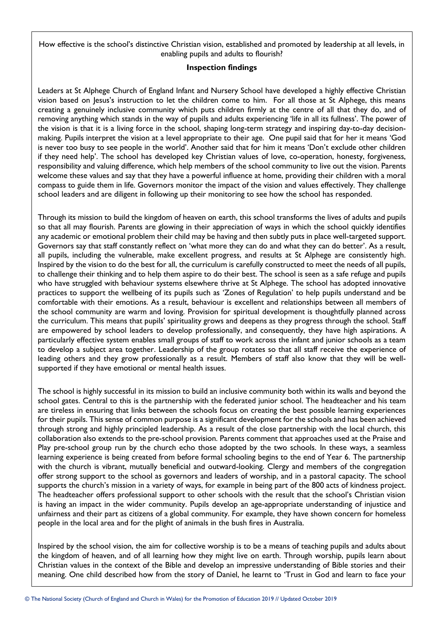How effective is the school's distinctive Christian vision, established and promoted by leadership at all levels, in enabling pupils and adults to flourish?

## **Inspection findings**

Leaders at St Alphege Church of England Infant and Nursery School have developed a highly effective Christian vision based on Jesus's instruction to let the children come to him. For all those at St Alphege, this means creating a genuinely inclusive community which puts children firmly at the centre of all that they do, and of removing anything which stands in the way of pupils and adults experiencing 'life in all its fullness'. The power of the vision is that it is a living force in the school, shaping long-term strategy and inspiring day-to-day decisionmaking. Pupils interpret the vision at a level appropriate to their age. One pupil said that for her it means 'God is never too busy to see people in the world'. Another said that for him it means 'Don't exclude other children if they need help'. The school has developed key Christian values of love, co-operation, honesty, forgiveness, responsibility and valuing difference, which help members of the school community to live out the vision. Parents welcome these values and say that they have a powerful influence at home, providing their children with a moral compass to guide them in life. Governors monitor the impact of the vision and values effectively. They challenge school leaders and are diligent in following up their monitoring to see how the school has responded.

Through its mission to build the kingdom of heaven on earth, this school transforms the lives of adults and pupils so that all may flourish. Parents are glowing in their appreciation of ways in which the school quickly identifies any academic or emotional problem their child may be having and then subtly puts in place well-targeted support. Governors say that staff constantly reflect on 'what more they can do and what they can do better'. As a result, all pupils, including the vulnerable, make excellent progress, and results at St Alphege are consistently high. Inspired by the vision to do the best for all, the curriculum is carefully constructed to meet the needs of all pupils, to challenge their thinking and to help them aspire to do their best. The school is seen as a safe refuge and pupils who have struggled with behaviour systems elsewhere thrive at St Alphege. The school has adopted innovative practices to support the wellbeing of its pupils such as 'Zones of Regulation' to help pupils understand and be comfortable with their emotions. As a result, behaviour is excellent and relationships between all members of the school community are warm and loving. Provision for spiritual development is thoughtfully planned across the curriculum. This means that pupils' spirituality grows and deepens as they progress through the school. Staff are empowered by school leaders to develop professionally, and consequently, they have high aspirations. A particularly effective system enables small groups of staff to work across the infant and junior schools as a team to develop a subject area together. Leadership of the group rotates so that all staff receive the experience of leading others and they grow professionally as a result. Members of staff also know that they will be wellsupported if they have emotional or mental health issues.

The school is highly successful in its mission to build an inclusive community both within its walls and beyond the school gates. Central to this is the partnership with the federated junior school. The headteacher and his team are tireless in ensuring that links between the schools focus on creating the best possible learning experiences for their pupils. This sense of common purpose is a significant development for the schools and has been achieved through strong and highly principled leadership. As a result of the close partnership with the local church, this collaboration also extends to the pre-school provision. Parents comment that approaches used at the Praise and Play pre-school group run by the church echo those adopted by the two schools. In these ways, a seamless learning experience is being created from before formal schooling begins to the end of Year 6. The partnership with the church is vibrant, mutually beneficial and outward-looking. Clergy and members of the congregation offer strong support to the school as governors and leaders of worship, and in a pastoral capacity. The school supports the church's mission in a variety of ways, for example in being part of the 800 acts of kindness project. The headteacher offers professional support to other schools with the result that the school's Christian vision is having an impact in the wider community. Pupils develop an age-appropriate understanding of injustice and unfairness and their part as citizens of a global community. For example, they have shown concern for homeless people in the local area and for the plight of animals in the bush fires in Australia.

Inspired by the school vision, the aim for collective worship is to be a means of teaching pupils and adults about the kingdom of heaven, and of all learning how they might live on earth. Through worship, pupils learn about Christian values in the context of the Bible and develop an impressive understanding of Bible stories and their meaning. One child described how from the story of Daniel, he learnt to 'Trust in God and learn to face your